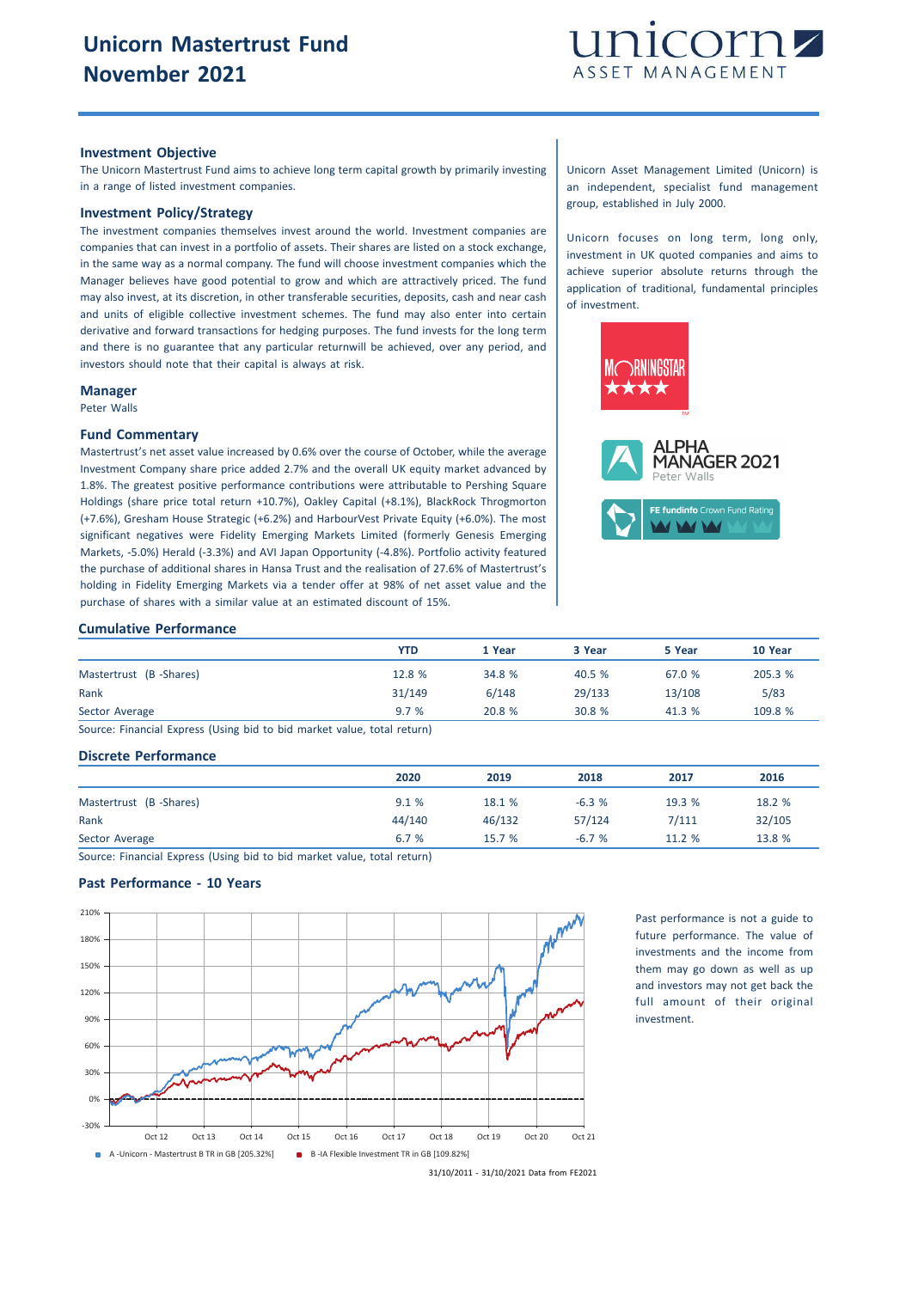

# **Investment Objective**

The Unicorn Mastertrust Fund aims to achieve long term capital growth by primarily investing in a range of listed investment companies.

# **Investment Policy/Strategy**

The investment companies themselves invest around the world. Investment companies are companies that can invest in a portfolio of assets. Their shares are listed on a stock exchange, in the same way as a normal company. The fund will choose investment companies which the Manager believes have good potential to grow and which are attractively priced. The fund may also invest, at its discretion, in other transferable securities, deposits, cash and near cash and units of eligible collective investment schemes. The fund may also enter into certain derivative and forward transactions for hedging purposes. The fund invests for the long term and there is no guarantee that any particular returnwill be achieved, over any period, and investors should note that their capital is always at risk.

#### **Manager**

Peter Walls

## **Fund Commentary**

Mastertrust's net asset value increased by 0.6% over the course of October, while the average Investment Company share price added 2.7% and the overall UK equity market advanced by 1.8%. The greatest positive performance contributions were attributable to Pershing Square Holdings (share price total return +10.7%), Oakley Capital (+8.1%), BlackRock Throgmorton (+7.6%), Gresham House Strategic (+6.2%) and HarbourVest Private Equity (+6.0%). The most significant negatives were Fidelity Emerging Markets Limited (formerly Genesis Emerging Markets, -5.0%) Herald (-3.3%) and AVI Japan Opportunity (-4.8%). Portfolio activity featured the purchase of additional shares in Hansa Trust and the realisation of 27.6% of Mastertrust's holding in Fidelity Emerging Markets via a tender offer at 98% of net asset value and the purchase of shares with a similar value at an estimated discount of 15%.

#### **Cumulative Performance**

|                        | <b>YTD</b> | 1 Year | 3 Year | 5 Year | 10 Year |
|------------------------|------------|--------|--------|--------|---------|
| Mastertrust (B-Shares) | 12.8 %     | 34.8 % | 40.5 % | 67.0 % | 205.3 % |
| Rank                   | 31/149     | 6/148  | 29/133 | 13/108 | 5/83    |
| Sector Average         | 9.7%       | 20.8 % | 30.8 % | 41.3 % | 109.8 % |

Source: Financial Express (Using bid to bid market value, total return)

### **Discrete Performance**

|                        | 2020   | 2019   | 2018    | 2017   | 2016   |
|------------------------|--------|--------|---------|--------|--------|
| Mastertrust (B-Shares) | 9.1%   | 18.1 % | $-6.3%$ | 19.3 % | 18.2 % |
| Rank                   | 44/140 | 46/132 | 57/124  | 7/111  | 32/105 |
| Sector Average         | 6.7 %  | 15.7 % | $-6.7%$ | 11.2 % | 13.8 % |
|                        |        |        |         |        |        |

Source: Financial Express (Using bid to bid market value, total return)

# **Past Performance - 10 Years**



Past performance is not a guide to future performance. The value of investments and the income from them may go down as well as up and investors may not get back the full amount of their original investment.

Unicorn Asset Management Limited (Unicorn) is an independent, specialist fund management group, established in July 2000.

Unicorn focuses on long term, long only, investment in UK quoted companies and aims to achieve superior absolute returns through the application of traditional, fundamental principles of investment.